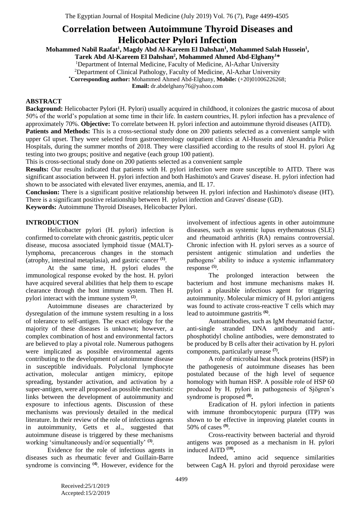# **Correlation between Autoimmune Thyroid Diseases and Helicobacter Pylori Infection**

**Mohammed Nabil Raafat<sup>1</sup> , Magdy Abd Al-Kareem El Dahshan<sup>1</sup> , Mohammed Salah Hussein<sup>1</sup> ,** 

**Tarek Abd Al-Kareem El Dahshan<sup>2</sup> , Mohammed Ahmed Abd-Elghany<sup>1</sup>\*** 

<sup>1</sup>Department of Internal Medicine, Faculty of Medicine, Al-Azhar University

<sup>2</sup>Department of Clinical Pathology, Faculty of Medicine, Al-Azhar University

**\*Corresponding author:** Mohammed Ahmed Abd-Elghany, **Mobile:** (+20)01006226268;

**Email:** dr.abdelghany76@yahoo.com

## **ABSTRACT**

**Background:** Helicobacter Pylori (H. Pylori) usually acquired in childhood, it colonizes the gastric mucosa of about 50% of the world's population at some time in their life. In eastern countries, H. pylori infection has a prevalence of approximately 70%. **Objective:** To correlate between H. pylori infection and autoimmune thyroid diseases (AITD). **Patients and Methods:** This is a cross-sectional study done on 200 patients selected as a convenient sample with upper GI upset. They were selected from gastroenterology outpatient clinics at Al-Hussein and Alexandria Police Hospitals, during the summer months of 2018. They were classified according to the results of stool H. pylori Ag testing into two groups; positive and negative (each group 100 patient).

This is cross-sectional study done on 200 patients selected as a convenient sample

**Results:** Our results indicated that patients with H. pylori infection were more susceptible to AITD. There was significant association between H. pylori infection and both Hashimoto's and Graves' disease. H. pylori infection had shown to be associated with elevated liver enzymes, anemia, and IL 17.

**Conclusion:** There is a significant positive relationship between H. pylori infection and Hashimoto's disease (HT). There is a significant positive relationship between H. pylori infection and Graves' disease (GD).

**Keywords:** Autoimmune Thyroid Diseases, Helicobacter Pylori.

## **INTRODUCTION**

Helicobacter pylori (H. pylori) infection is confirmed to correlate with chronic gastritis, peptic ulcer disease, mucosa associated lymphoid tissue (MALT) lymphoma, precancerous changes in the stomach (atrophy, intestinal metaplasia), and gastric cancer **(1)** .

At the same time, H. pylori eludes the immunological response evoked by the host. H. pylori have acquired several abilities that help them to escape clearance through the host immune system. Then H. pylori interact with the immune system **(2)** .

Autoimmune diseases are characterized by dysregulation of the immune system resulting in a loss of tolerance to self-antigen. The exact etiology for the majority of these diseases is unknown; however, a complex combination of host and environmental factors are believed to play a pivotal role. Numerous pathogens were implicated as possible environmental agents contributing to the development of autoimmune disease in susceptible individuals. Polyclonal lymphocyte activation, molecular antigen mimicry, epitope spreading, bystander activation, and activation by a super-antigen, were all proposed as possible mechanistic links between the development of autoimmunity and exposure to infectious agents. Discussion of these mechanisms was previously detailed in the medical literature. In their review of the role of infectious agents in autoimmunity, Getts et al., suggested that autoimmune disease is triggered by these mechanisms working 'simultaneously and/or sequentially' **(3)** .

Evidence for the role of infectious agents in diseases such as rheumatic fever and Guillain-Barre syndrome is convincing <sup>(4)</sup>. However, evidence for the involvement of infectious agents in other autoimmune diseases, such as systemic lupus erythematosus (SLE) and rheumatoid arthritis (RA) remains controversial. Chronic infection with H. pylori serves as a source of persistent antigenic stimulation and underlies the pathogens' ability to induce a systemic inflammatory response **(5)** .

The prolonged interaction between the bacterium and host immune mechanisms makes H. pylori a plausible infectious agent for triggering autoimmunity. Molecular mimicry of H. pylori antigens was found to activate cross-reactive T cells which may lead to autoimmune gastritis **(6)** .

Autoantibodies, such as IgM rheumatoid factor, anti-single stranded DNA antibody and antiphosphotidyl choline antibodies, were demonstrated to be produced by B cells after their activation by H. pylori components, particularly urease **(7) .** 

A role of microbial heat shock proteins (HSP) in the pathogenesis of autoimmune diseases has been postulated because of the high level of sequence homology with human HSP. A possible role of HSP 60 produced by H. pylori in pathogenesis of Sjögren's syndrome is proposed **(8) .**

Eradication of H. pylori infection in patients with immune thrombocytopenic purpura (ITP) was shown to be effective in improving platelet counts in 50% of cases **(9)** .

Cross-reactivity between bacterial and thyroid antigens was proposed as a mechanism in H. pylori induced AiTD **(10) .** 

Indeed, amino acid sequence similarities between CagA H. pylori and thyroid peroxidase were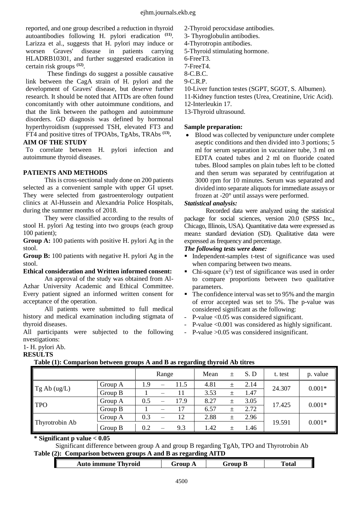reported, and one group described a reduction in thyroid autoantibodies following H. pylori eradication **(11)** . Larizza et al., suggests that H. pylori may induce or worsen Graves' disease in patients carrying HLADRB10301, and further suggested eradication in certain risk groups **(12)** .

These findings do suggest a possible causative link between the CagA strain of H. pylori and the development of Graves' disease, but deserve further research. It should be noted that AITDs are often found concomitantly with other autoimmune conditions, and that the link between the pathogen and autoimmune disorders. GD diagnosis was defined by hormonal hyperthyroidism (suppressed TSH, elevated FT3 and FT4 and positive titres of TPOAbs, TgAbs, TRAbs **(13) . AIM OF THE STUDY**

To correlate between H. pylori infection and autoimmune thyroid diseases.

## **PATIENTS AND METHODS**

This is cross-sectional study done on 200 patients selected as a convenient sample with upper GI upset. They were selected from gastroenterology outpatient clinics at Al-Hussein and Alexandria Police Hospitals, during the summer months of 2018.

They were classified according to the results of stool H. pylori Ag testing into two groups (each group 100 patient);

**Group A:** 100 patients with positive H. pylori Ag in the stool.

**Group B:** 100 patients with negative H. pylori Ag in the stool.

## **Ethical consideration and Written informed consent:**

An approval of the study was obtained from Al-Azhar University Academic and Ethical Committee. Every patient signed an informed written consent for acceptance of the operation.

All patients were submitted to full medical history and medical examination including stigmata of thyroid diseases.

All participants were subjected to the following nvestigations:

# 1- H. pylori Ab.

## **RESULTS**

## **Table (1): Comparison between groups A and B as regarding thyroid Ab titres**

|                |         |     | Range |      | Mean | $\pm$ | S.D  | t. test | p. value |  |
|----------------|---------|-----|-------|------|------|-------|------|---------|----------|--|
| Tg Ab (ug/L)   | Group A | 1.9 |       | 11.5 | 4.81 |       | 2.14 | 24.307  | $0.001*$ |  |
|                | Group B |     |       |      | 3.53 |       | 1.47 |         |          |  |
| TPO            | Group A | 0.5 |       | 17.9 | 8.27 | 土     | 3.05 | 17.425  | $0.001*$ |  |
|                | Group B |     | —     | 17   | 6.57 |       | 2.72 |         |          |  |
|                | Group A | 0.3 |       | 12   | 2.88 |       | 2.96 |         |          |  |
| Thyrotrobin Ab | Group B | 0.2 |       | 9.3  | 1.42 |       | 1.46 | 19.591  | $0.001*$ |  |

**\* Significant p value < 0.05** 

Significant difference between group A and group B regarding TgAb, TPO and Thyrotrobin Ab **Table (2): Comparison between groups A and B as regarding AITD**

|  | <b>Thyroid</b><br><b>Auto</b><br>immune | $\cdots$<br>$\overline{ }$<br>$\sim$ | Froun<br>JΓ | ''otal |
|--|-----------------------------------------|--------------------------------------|-------------|--------|
|--|-----------------------------------------|--------------------------------------|-------------|--------|

- 3- Thyroglobulin antibodies.
- 4-Thyrotropin antibodies.
- 5-Thyroid stimulating hormone.
- 6-FreeT3.
- 7-FreeT4.
- 8-C.B.C.
- 9-C.R.P.
- 10-Liver function testes (SGPT, SGOT, S. Albumen).
- 11-Kidney function testes (Urea, Creatinine, Uric Acid).
- 12-Interleukin 17.
- 13-Thyroid ultrasound.

#### **Sample preparation:**

 Blood was collected by venipuncture under complete aseptic conditions and then divided into 3 portions; 5 ml for serum separation in vacutainer tube, 3 ml on EDTA coated tubes and 2 ml on fluoride coated tubes. Blood samples on plain tubes left to be clotted and then serum was separated by centrifugation at 3000 rpm for 10 minutes. Serum was separated and divided into separate aliquots for immediate assays or frozen at -20° until assays were performed.

#### *Statistical analysis:*

Recorded data were analyzed using the statistical package for social sciences, version 20.0 (SPSS Inc., Chicago, Illinois, USA). Quantitative data were expressed as mean± standard deviation (SD). Qualitative data were expressed as frequency and percentage.

#### *The following tests were done:*

- Independent-samples t-test of significance was used when comparing between two means.
- Chi-square  $(x^2)$  test of significance was used in order to compare proportions between two qualitative parameters.
- The confidence interval was set to 95% and the margin of error accepted was set to 5%. The p-value was considered significant as the following:
- P-value <0.05 was considered significant.
- P-value <0.001 was considered as highly significant.
- P-value >0.05 was considered insignificant.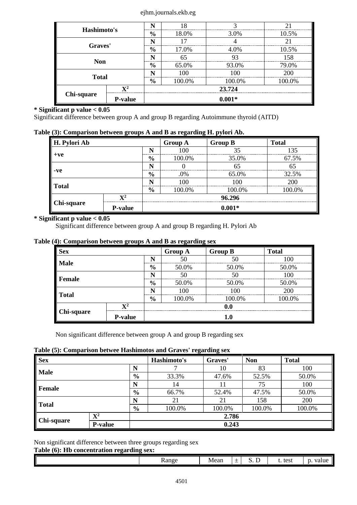#### ejhm.journals.ekb.eg

| Hashimoto's  |                | N             | 8                       |        | 21     |  |  |  |  |
|--------------|----------------|---------------|-------------------------|--------|--------|--|--|--|--|
|              |                | $\frac{6}{6}$ | 18.0%                   | 3.0%   | 10.5%  |  |  |  |  |
| Graves'      |                | N             |                         |        |        |  |  |  |  |
|              |                | $\frac{6}{9}$ | 17.0%                   | 4.0%   | 10.5%  |  |  |  |  |
| <b>Non</b>   |                |               | 65                      | 93     | 158    |  |  |  |  |
|              |                | $\frac{6}{9}$ | 93.0%<br>79.0%<br>65.0% |        |        |  |  |  |  |
| <b>Total</b> |                |               | 100                     | 100    | 200    |  |  |  |  |
|              |                | $\frac{6}{9}$ | 100.0%                  | 100.0% | 100.0% |  |  |  |  |
|              | $\mathbf{V}^2$ | 23.724        |                         |        |        |  |  |  |  |
| Chi-square   | <b>P-value</b> | $0.001*$      |                         |        |        |  |  |  |  |

## **\* Significant p value < 0.05**

Significant difference between group A and group B regarding Autoimmune thyroid (AITD)

## **Table (3): Comparison between groups A and B as regarding H. pylori Ab.**

| H. Pylori Ab |                |               | <b>Group A</b> | <b>Group B</b> | <b>Total</b> |  |  |  |
|--------------|----------------|---------------|----------------|----------------|--------------|--|--|--|
|              |                | N             | 100            | 35             | 135          |  |  |  |
| $+ve$        |                | $\frac{6}{9}$ | 100.0%         | 35.0%          | 67.5%        |  |  |  |
|              |                | N             |                | 65             | 65           |  |  |  |
| $-ve$        |                | $\frac{6}{9}$ | .0%            | 65.0%          | 32.5%        |  |  |  |
|              |                |               | 100            | 100            | 200          |  |  |  |
| Total        |                | $\frac{6}{9}$ | 100.0%         | 100.0%         | 100.0%       |  |  |  |
|              | $\mathbf{V}^2$ | 96.296        |                |                |              |  |  |  |
| Chi-square   | <b>P-value</b> |               |                | $0.001*$       |              |  |  |  |

## **\* Significant p value < 0.05**

Significant difference between group A and group B regarding H. Pylori Ab

#### **Table (4): Comparison between groups A and B as regarding sex**

| <b>Sex</b>         |                        |               | <b>Group A</b> | <b>Group B</b> | <b>Total</b> |  |  |
|--------------------|------------------------|---------------|----------------|----------------|--------------|--|--|
| <b>Male</b>        |                        | N             | 50             | 50             | 100          |  |  |
|                    |                        | $\frac{6}{6}$ | 50.0%          | 50.0%          | 50.0%        |  |  |
| N<br><b>Female</b> |                        | 50            | 50             | 100            |              |  |  |
|                    | 50.0%<br>$\frac{6}{6}$ |               |                | 50.0%          | 50.0%        |  |  |
| N                  |                        | 100           | 100            | 200            |              |  |  |
| Total              |                        | $\frac{6}{9}$ | 100.0%         | 100.0%         | 100.0%       |  |  |
|                    | $\mathbf{X}^2$         | 0.0           |                |                |              |  |  |
| Chi-square         | <b>P-value</b>         |               |                | 1.0            |              |  |  |

Non significant difference between group A and group B regarding sex

## **Table (5): Comparison betwee Hashimotos and Graves' regarding sex**

| <b>Sex</b>        |                |               | Hashimoto's | Graves' | <b>Non</b> | <b>Total</b> |  |
|-------------------|----------------|---------------|-------------|---------|------------|--------------|--|
| <b>Male</b>       |                |               |             | 10      | 83         | 100          |  |
|                   |                | $\frac{0}{0}$ | 33.3%       | 47.6%   | 52.5%      | 50.0%        |  |
|                   |                |               | 14          |         | 75         | 100          |  |
| Female            |                | $\frac{0}{0}$ | 66.7%       | 52.4%   | 47.5%      | 50.0%        |  |
| Total             |                |               | 21          | 21      | 158        | 200          |  |
|                   |                | $\frac{6}{6}$ | 100.0%      | 100.0%  | 100.0%     | 100.0%       |  |
| <b>Chi-square</b> | $\mathbf{X}^2$ |               |             | 2.786   |            |              |  |
|                   | <b>P-value</b> |               |             | 0.243   |            |              |  |

## Non significant difference between three groups regarding sex

#### **Table (6): Hb concentration regarding sex:**

| <b>Range</b> | Mean | — | $\sim$<br>$\sim$<br>ັ.<br><b>.</b> | test<br>ւ. | 110110<br>value<br>$\mathbf{L}$ |
|--------------|------|---|------------------------------------|------------|---------------------------------|
|              |      |   |                                    |            |                                 |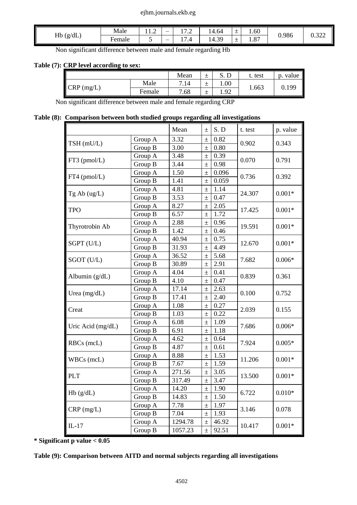#### ejhm.journals.ekb.eg

| $\mathcal{L}(g/dL)$<br>Hb | Male<br>.        | $\sim$<br>11.L | $\sim$ $\sim$<br>1 <i>.</i>        | 14.64       | $\overline{\phantom{0}}$<br>÷ | 0.60                   | 0.986 | $\sim$        |
|---------------------------|------------------|----------------|------------------------------------|-------------|-------------------------------|------------------------|-------|---------------|
| . F                       | $\sim$<br>Female | ັ              | $\overline{ }$<br>$\overline{1.4}$ | 30<br>14.35 | -<br><u>—</u>                 | O <sub>7</sub><br>1.01 |       | 0.J <i>ll</i> |

Non significant difference between male and female regarding Hb

## **Table (7): CRP level according to sex:**

|              |        | Mean | D<br>ມ. ມ | test  | . value<br>$\mathbf{D}$ . |
|--------------|--------|------|-----------|-------|---------------------------|
| $CRP$ (mg/L) | Male   | 7.14 | 00.1      |       | 0.199                     |
|              | Female | 7.68 | 1.92      | 1.663 |                           |

Non significant difference between male and female regarding CRP

#### **Table (8): Comparison between both studied groups regarding all investigations**

|                   |         | Mean    | $\pm$ | S.D   | t. test | p. value |  |
|-------------------|---------|---------|-------|-------|---------|----------|--|
| TSH (mU/L)        | Group A | 3.32    | $\pm$ | 0.82  | 0.902   | 0.343    |  |
|                   | Group B | 3.00    | $\pm$ | 0.80  |         |          |  |
|                   | Group A | 3.48    | $\pm$ | 0.39  | 0.070   | 0.791    |  |
| FT3 (pmol/L)      | Group B | 3.44    | $\pm$ | 0.98  |         |          |  |
| FT4 (pmol/L)      | Group A | 1.50    | $\pm$ | 0.096 | 0.736   | 0.392    |  |
|                   | Group B | 1.41    | $\pm$ | 0.059 |         |          |  |
| Tg Ab (ug/L)      | Group A | 4.81    | $\pm$ | 1.14  | 24.307  | $0.001*$ |  |
|                   | Group B | 3.53    | $\pm$ | 0.47  |         |          |  |
| <b>TPO</b>        | Group A | 8.27    | $\pm$ | 2.05  | 17.425  | $0.001*$ |  |
|                   | Group B | 6.57    | $\pm$ | 1.72  |         |          |  |
| Thyrotrobin Ab    | Group A | 2.88    | $\pm$ | 0.96  | 19.591  |          |  |
|                   | Group B | 1.42    | $\pm$ | 0.46  |         | $0.001*$ |  |
| SGPT (U/L)        | Group A | 40.94   | $\pm$ | 0.75  | 12.670  | $0.001*$ |  |
|                   | Group B | 31.93   | $\pm$ | 4.49  |         |          |  |
| SGOT (U/L)        | Group A | 36.52   | $\pm$ | 5.68  | 7.682   | $0.006*$ |  |
|                   | Group B | 30.89   | $\pm$ | 2.91  |         |          |  |
|                   | Group A | 4.04    | $\pm$ | 0.41  | 0.839   | 0.361    |  |
| Albumin $(g/dL)$  | Group B | 4.10    | $\pm$ | 0.47  |         |          |  |
| Urea $(mg/dL)$    | Group A | 17.14   | $\pm$ | 2.63  | 0.100   | 0.752    |  |
|                   | Group B | 17.41   | $\pm$ | 2.40  |         |          |  |
|                   | Group A | 1.08    | $\pm$ | 0.27  | 2.039   |          |  |
| Creat             | Group B | 1.03    | $\pm$ | 0.22  |         | 0.155    |  |
| Uric Acid (mg/dL) | Group A | 6.08    | $\pm$ | 1.09  | 7.686   | $0.006*$ |  |
|                   | Group B | 6.91    | $\pm$ | 1.18  |         |          |  |
|                   | Group A | 4.62    | $\pm$ | 0.64  | 7.924   | $0.005*$ |  |
| RBCs (mcL)        | Group B | 4.87    | $\pm$ | 0.61  |         |          |  |
|                   | Group A | 8.88    | $\pm$ | 1.53  | 11.206  | $0.001*$ |  |
| WBCs (mcL)        | Group B | 7.67    | $\pm$ | 1.59  |         |          |  |
| <b>PLT</b>        | Group A | 271.56  | $\pm$ | 3.05  |         | $0.001*$ |  |
|                   | Group B | 317.49  | $\pm$ | 3.47  | 13.500  |          |  |
|                   | Group A | 14.20   | $\pm$ | 1.90  | 6.722   |          |  |
| Hb(g/dL)          | Group B | 14.83   | $\pm$ | 1.50  |         | $0.010*$ |  |
|                   | Group A | 7.78    | $\pm$ | 1.97  | 3.146   |          |  |
| $CRP$ (mg/L)      | Group B | 7.04    | $\pm$ | 1.93  |         | 0.078    |  |
| $IL-17$           | Group A | 1294.78 | $\pm$ | 46.92 | 10.417  | $0.001*$ |  |
|                   | Group B | 1057.23 | $\pm$ | 92.51 |         |          |  |

**\* Significant p value < 0.05**

**Table (9): Comparison between AITD and normal subjects regarding all investigations**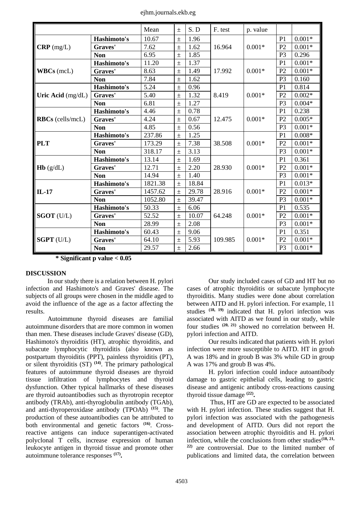ejhm.journals.ekb.eg

|                         |             | Mean    | $\pm$ | S.D   | F. test | p. value |                |          |
|-------------------------|-------------|---------|-------|-------|---------|----------|----------------|----------|
|                         | Hashimoto's | 10.67   | $\pm$ | 1.96  |         |          | P <sub>1</sub> | $0.001*$ |
| $CRP$ (mg/L)            | Graves'     | 7.62    | $\pm$ | 1.62  | 16.964  | $0.001*$ | P <sub>2</sub> | $0.001*$ |
|                         | <b>Non</b>  | 6.95    | $\pm$ | 1.85  |         |          | P <sub>3</sub> | 0.296    |
|                         | Hashimoto's | 11.20   | $\pm$ | 1.37  |         |          | P <sub>1</sub> | $0.001*$ |
| $WBCs$ (mcL)            | Graves'     | 8.63    | $\pm$ | 1.49  | 17.992  | $0.001*$ | P <sub>2</sub> | $0.001*$ |
|                         | <b>Non</b>  | 7.84    | $\pm$ | 1.62  |         |          | P <sub>3</sub> | 0.160    |
|                         | Hashimoto's | 5.24    | $\pm$ | 0.96  |         |          | P <sub>1</sub> | 0.814    |
| Uric Acid $(mg/dL)$     | Graves'     | 5.40    | $\pm$ | 1.32  | 8.419   | $0.001*$ | P <sub>2</sub> | $0.002*$ |
|                         | <b>Non</b>  | 6.81    | $\pm$ | 1.27  |         |          | P <sub>3</sub> | $0.004*$ |
|                         | Hashimoto's | 4.46    | $\pm$ | 0.78  |         |          | P <sub>1</sub> | 0.238    |
| <b>RBCs</b> (cells/mcL) | Graves'     | 4.24    | $\pm$ | 0.67  | 12.475  | $0.001*$ | P <sub>2</sub> | $0.005*$ |
|                         | <b>Non</b>  | 4.85    | $\pm$ | 0.56  |         |          | P <sub>3</sub> | $0.001*$ |
|                         | Hashimoto's | 237.86  | $\pm$ | 1.25  |         |          | P <sub>1</sub> | $0.008*$ |
| <b>PLT</b>              | Graves'     | 173.29  | $\pm$ | 7.38  | 38.508  | $0.001*$ | P <sub>2</sub> | $0.001*$ |
|                         | <b>Non</b>  | 318.17  | $\pm$ | 3.13  |         |          | P <sub>3</sub> | $0.001*$ |
|                         | Hashimoto's | 13.14   | $\pm$ | 1.69  |         |          | P <sub>1</sub> | 0.361    |
| Hb(g/dL)                | Graves'     | 12.71   | $\pm$ | 2.20  | 28.930  | $0.001*$ | P <sub>2</sub> | $0.001*$ |
|                         | <b>Non</b>  | 14.94   | $\pm$ | 1.40  |         |          | P <sub>3</sub> | $0.001*$ |
|                         | Hashimoto's | 1821.38 | $\pm$ | 18.84 |         |          | P <sub>1</sub> | $0.013*$ |
| $IL-17$                 | Graves'     | 1457.62 | $\pm$ | 29.78 | 28.916  | $0.001*$ | P <sub>2</sub> | $0.001*$ |
|                         | <b>Non</b>  | 1052.80 | $\pm$ | 39.47 |         |          | P <sub>3</sub> | $0.001*$ |
|                         | Hashimoto's | 50.33   | $\pm$ | 6.06  |         |          | P <sub>1</sub> | 0.535    |
| SGOT (U/L)              | Graves'     | 52.52   | $\pm$ | 10.07 | 64.248  | $0.001*$ | P2             | $0.001*$ |
|                         | <b>Non</b>  | 28.99   | $\pm$ | 2.08  |         |          | P <sub>3</sub> | $0.001*$ |
|                         | Hashimoto's | 60.43   | $\pm$ | 9.06  |         |          | P <sub>1</sub> | 0.351    |
| <b>SGPT</b> (U/L)       | Graves'     | 64.10   | $\pm$ | 5.93  | 109.985 | $0.001*$ | P <sub>2</sub> | $0.001*$ |
|                         | <b>Non</b>  | 29.57   | $\pm$ | 2.66  |         |          | P <sub>3</sub> | $0.001*$ |

**\* Significant p value < 0.05** 

## **DISCUSSION**

In our study there is a relation between H. pylori infection and Hashimoto's and Graves' disease. The subjects of all groups were chosen in the middle aged to avoid the influence of the age as a factor affecting the results.

Autoimmune thyroid diseases are familial autoimmune disorders that are more common in women than men. These diseases include Graves' disease (GD), Hashimoto's thyroiditis (HT), atrophic thyroiditis, and subacute lymphocytic thyroiditis (also known as postpartum thyroiditis (PPT), painless thyroiditis (PT), or silent thyroiditis (ST) **(14)** . The primary pathological features of autoimmune thyroid diseases are thyroid tissue infiltration of lymphocytes and thyroid dysfunction. Other typical hallmarks of these diseases are thyroid autoantibodies such as thyrotropin receptor antibody (TRAb), anti-thyroglobulin antibody (TGAb), and anti-thyroperoxidase antibody (TPOAb) **(15)** . The production of these autoantibodies can be attributed to both environmental and genetic factors **(16)** . Crossreactive antigens can induce superantigen-activated polyclonal T cells, increase expression of human leukocyte antigen in thyroid tissue and promote other autoimmune tolerance responses **(17) .** 

Our study included cases of GD and HT but no cases of atrophic thyroiditis or subacute lymphocyte thyroiditis. Many studies were done about correlation between AITD and H. pylori infection. For example, 11 studies **(18, 19)** indicated that H. pylori infection was associated with AITD as we found in our study, while four studies **(20, 21)** showed no correlation between H. pylori infection and AITD.

Our results indicated that patients with H. pylori infection were more susceptible to AITD. HT in groub A was 18% and in groub B was 3% while GD in group A was 17% and groub B was 4%.

H. pylori infection could induce autoantibody damage to gastric epithelial cells, leading to gastric disease and antigenic antibody cross-reactions causing thyroid tissue damage **(22) .** 

Thus, HT are GD are expected to be associated with H. pylori infection. These studies suggest that H. pylori infection was associated with the pathogenesis and development of AITD. Ours did not report the association between atrophic thyroiditis and H. pylori infection, while the conclusions from other studies<sup>(18, 21,</sup> **22)** are controversial. Due to the limited number of publications and limited data, the correlation between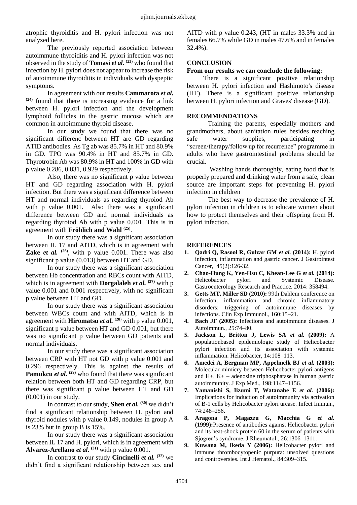atrophic thyroiditis and H. pylori infection was not analyzed here.

The previously reported association between autoimmune thyroiditis and H. pylori infection was not observed in the study of **Tomasi** *et al.* **(23)** who found that infection by H. pylori does not appear to increase the risk of autoimmune thyroiditis in individuals with dyspeptic symptoms.

In agreement with our results **Cammarota** *et al.* **(24)** found that there is increasing evidence for a link between H. pylori infection and the development lymphoid follicles in the gastric mucosa which are common in autoimmune thyroid disease.

In our study we found that there was no significant differenc between HT are GD regarding ATID antibodies. As Tg ab was 85.7% in HT and 80.9% in GD. TPO was 90.4% in HT and 85.7% in GD. Thyrotrobin Ab was 80.9% in HT and 100% in GD with p value 0.286, 0.831, 0.929 respectively.

Also, there was no significant p value between HT and GD regarding association with H. pylori infection. But there was a significant difference between HT and normal individuals as regarding thyroiod Ab with p value 0.001. Also there was a significant difference between GD and normal individuals as regarding thyroiod Ab with p value 0.001. This is in agreement with **Fröhlich and Wahl (25)** .

In our study there was a significant association between IL 17 and AITD, which is in agreement with **Zake** *et al.* <sup>(26)</sup>, with p value 0.001. There was also significant p value (0.013) between HT and GD.

In our study there was a significant association between Hb concentration and RBCs count with AITD, which is in agreement with **Dorgalaleh** *et al.* **(27)** with p value 0.001 and 0.001 respectively, with no significant p value between HT and GD.

In our study there was a significant association between WBCs count and with AITD, which is in agreement with **Hiromatsu** *et al.*  $^{(28)}$  with p value 0.001, significant p value between HT and GD 0.001, but there was no significant p value between GD patients and normal individuals.

In our study there was a significant association between CRP with HT not GD with p value 0.001 and 0.296 respectively. This is against the results of **Pamukcu** *et al.* <sup>(29)</sup> who found that there was significant relation between both HT and GD regarding CRP, but there was significant p value between HT and GD (0.001) in our study.

In contrast to our study, **Shen** *et al.* **(30)** we didn't find a significant relationship between H. pylori and thyroid nodules with p value 0.149, nodules in group A is 23% but in group B is 15%.

In our study there was a significant association between IL 17 and H. pylori, which is in agreement with **Alvarez-Arellano** *et al.* **(31)** with p value 0.001.

In contrast to our study **Cincinelli** *et al.* **(32)** we didn't find a significant relationship between sex and

AITD with p value 0.243, (HT in males 33.3% and in females 66.7% while GD in males 47.6% and in females 32.4%).

## **CONCLUSION**

## **From our results we can conclude the following:**

There is a significant positive relationship between H. pylori infection and Hashimoto's disease (HT). There is a significant positive relationship between H. pylori infection and Graves' disease (GD).

# **RECOMMENDATIONS**

Training the parents, especially mothers and grandmothers, about sanitation rules besides reaching safe water supplies, participating in "screen/therapy/follow up for recurrence" programme in adults who have gastrointestinal problems should be crucial.

Washing hands thoroughly, eating food that is properly prepared and drinking water from a safe, clean source are important steps for preventing H. pylori infection in children

The best way to decrease the prevalence of H. pylori infection in children is to educate women about how to protect themselves and their offspring from H. pylori infection.

#### **REFERENCES**

- **1. [Qadri Q,](https://www.ncbi.nlm.nih.gov/pubmed/?term=Qadri%20Q%5BAuthor%5D&cauthor=true&cauthor_uid=24557546) [Rasool R,](https://www.ncbi.nlm.nih.gov/pubmed/?term=Rasool%20R%5BAuthor%5D&cauthor=true&cauthor_uid=24557546) [Gulzar GM](https://www.ncbi.nlm.nih.gov/pubmed/?term=Gulzar%20GM%5BAuthor%5D&cauthor=true&cauthor_uid=24557546)** *et al.* **(2014):** H. pylori infection, inflammation and gastric cancer. [J Gastrointest](https://www.ncbi.nlm.nih.gov/pubmed/24557546)  [Cancer,](https://www.ncbi.nlm.nih.gov/pubmed/24557546) 45(2):126-32.
- **2. [Chao-Hung K,](https://www.hindawi.com/53404951/) [Yen-Hsu C,](https://www.hindawi.com/81831963/) [Khean-Lee G](https://www.hindawi.com/21805905/)** *et al.* **(2014):** Helicobacter pylori and Systemic Disease. Gastroenterology Research and Practice. 2014: 358494.
- **3. Getts MT, Miller SD (2010):** 99th Dahlem conference on infection, inflammation and chronic inflammatory disorders: triggering of autoimmune diseases by infections. Clin Exp Immunol., 160:15–21.
- **4. Bach JF (2005):** Infections and autoimmune diseases. J Autoimmun., 25:74–80.
- **5. Jackson L, Britton J, Lewis SA** *et al.* **(2009):** A populationbased epidemiologic study of Helicobacter pylori infection and its association with systemic inflammation. Helicobacter, 14:108–113.
- **6. Amedei A, Bergman MP, Appelmelk BJ** *et al.* **(2003):** Molecular mimicry between Helicobacter pylori antigens and H+, K+ – adenosine triphosphatase in human gastric autoimmunity. J Exp Med., 198:1147–1156.
- **7. Yamanishi S, Iizumi T, Watanabe E** *et al.* **(2006):** Implications for induction of autoimmunity via activation of B-1 cells by Helicobacter pylori urease. Infect Immun., 74:248–256.
- **8. Aragona P, Magazzu G, Macchia G** *et al.* **(1999):**Presence of antibodies against Helicobacter pylori and its heat-shock protein 60 in the serum of patients with Sjogren's syndrome. J Rheumatol., 26:1306–1311.
- **9. Kuwana M, Ikeda Y (2006):** Helicobacter pylori and immune thrombocytopenic purpura: unsolved questions and controversies. Int J Hematol., 84:309–315.